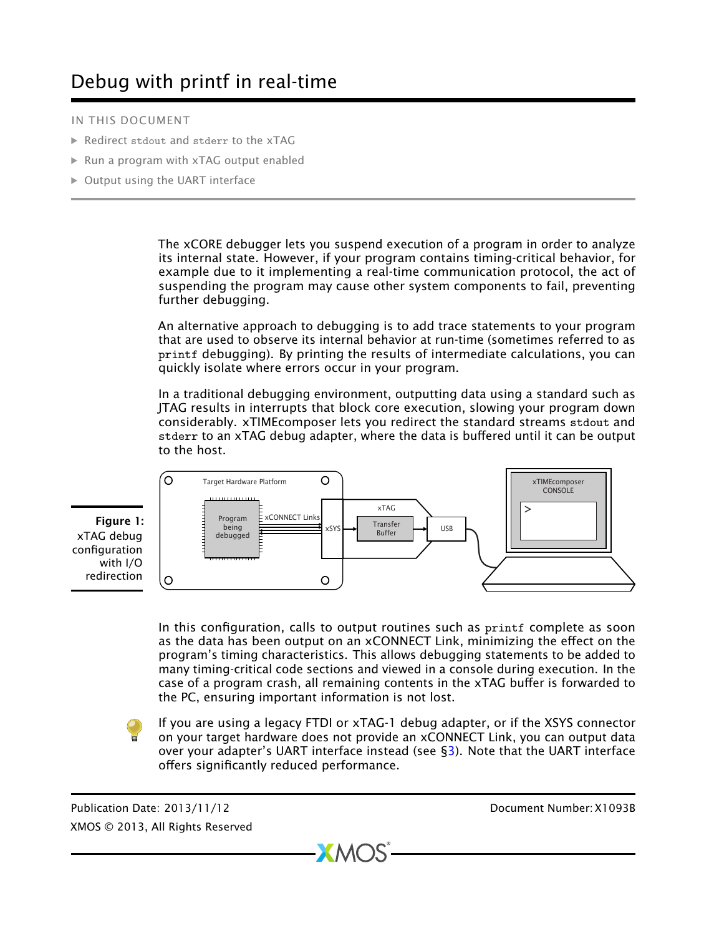# Debug with printf in real-time

#### IN THIS DOCUMENT

- · Redirect stdout and stderr [to the xTAG](#page-1-0)
- · [Run a program with xTAG output enabled](#page-2-0)
- · [Output using the UART interface](#page-2-1)

The xCORE debugger lets you suspend execution of a program in order to analyze its internal state. However, if your program contains timing-critical behavior, for example due to it implementing a real-time communication protocol, the act of suspending the program may cause other system components to fail, preventing further debugging.

An alternative approach to debugging is to add trace statements to your program that are used to observe its internal behavior at run-time (sometimes referred to as printf debugging). By printing the results of intermediate calculations, you can quickly isolate where errors occur in your program.

In a traditional debugging environment, outputting data using a standard such as JTAG results in interrupts that block core execution, slowing your program down considerably. xTIMEcomposer lets you redirect the standard streams stdout and stderr to an xTAG debug adapter, where the data is buffered until it can be output to the host.



In this configuration, calls to output routines such as printf complete as soon as the data has been output on an xCONNECT Link, minimizing the effect on the program's timing characteristics. This allows debugging statements to be added to many timing-critical code sections and viewed in a console during execution. In the case of a program crash, all remaining contents in the xTAG buffer is forwarded to the PC, ensuring important information is not lost.

If you are using a legacy FTDI or xTAG-1 debug adapter, or if the XSYS connector on your target hardware does not provide an xCONNECT Link, you can output data over your adapter's UART interface instead (see  $\S 3$ ). Note that the UART interface offers significantly reduced performance.

 $X$ M $(S)$ 

Publication Date: 2013/11/12 Document Number: X1093B XMOS © 2013, All Rights Reserved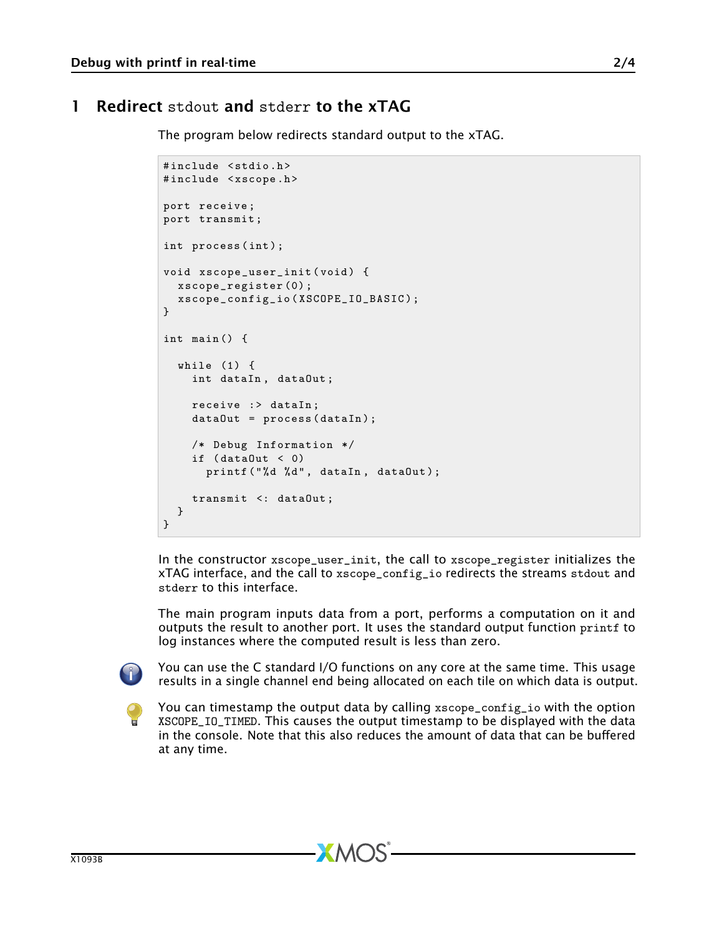### 1 Redirect stdout and stderr to the xTAG

<span id="page-1-0"></span>The program below redirects standard output to the xTAG.

```
#include <stdio.h>
#include <xscope.h>
port receive ;
port transmit ;
int process(int);
void xscope_user_init ( void ) {
 xscope_register (0) ;
  xscope_config_io ( XSCOPE_IO_BASIC );
}
int main () {
  while (1) {
    int dataIn , dataOut ;
    receive :> dataIn;
    dataOut = process (dataIn);
    /* Debug Information */
    if (dataOut < 0)printf ("%d %d", dataIn, dataOut);
    transmit <: dataOut ;
  }
}
```
In the constructor xscope\_user\_init, the call to xscope\_register initializes the xTAG interface, and the call to xscope\_config\_io redirects the streams stdout and stderr to this interface.

The main program inputs data from a port, performs a computation on it and outputs the result to another port. It uses the standard output function printf to log instances where the computed result is less than zero.



You can use the C standard I/O functions on any core at the same time. This usage results in a single channel end being allocated on each tile on which data is output.



You can timestamp the output data by calling xscope\_config\_io with the option XSCOPE\_IO\_TIMED. This causes the output timestamp to be displayed with the data in the console. Note that this also reduces the amount of data that can be buffered at any time.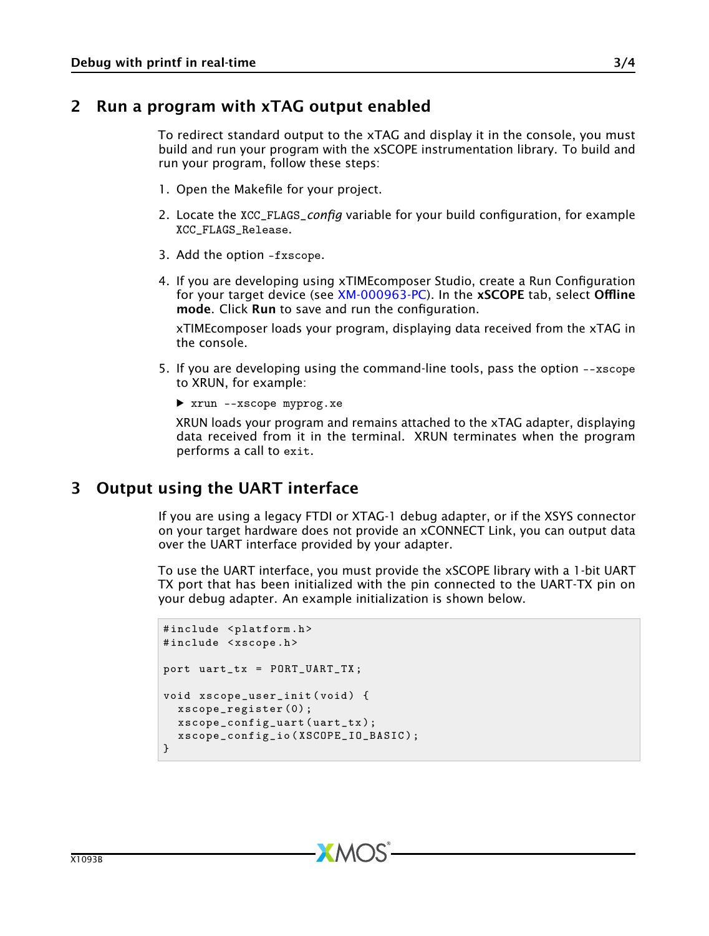#### 2 Run a program with xTAG output enabled

<span id="page-2-0"></span>To redirect standard output to the xTAG and display it in the console, you must build and run your program with the xSCOPE instrumentation library. To build and run your program, follow these steps:

- 1. Open the Makefile for your project.
- 2. Locate the XCC\_FLAGS\_*config* variable for your build configuration, for example XCC\_FLAGS\_Release.
- 3. Add the option -fxscope.
- 4. If you are developing using xTIMEcomposer Studio, create a Run Configuration for your target device (see [XM-000963-PC\)](http://www.xmos.com/doc/XM-000963-PC/latest/page29#xde-run-program-create-run-configuration). In the xSCOPE tab, select Offline mode. Click Run to save and run the configuration.

xTIMEcomposer loads your program, displaying data received from the xTAG in the console.

- 5. If you are developing using the command-line tools, pass the option --xscope to XRUN, for example:
	- · xrun --xscope myprog.xe

XRUN loads your program and remains attached to the xTAG adapter, displaying data received from it in the terminal. XRUN terminates when the program performs a call to exit.

## 3 Output using the UART interface

<span id="page-2-1"></span>If you are using a legacy FTDI or XTAG-1 debug adapter, or if the XSYS connector on your target hardware does not provide an xCONNECT Link, you can output data over the UART interface provided by your adapter.

To use the UART interface, you must provide the xSCOPE library with a 1-bit UART TX port that has been initialized with the pin connected to the UART-TX pin on your debug adapter. An example initialization is shown below.

```
#include <platform.h>
#include <xscope.h>
port uart_tx = PORT_UART_TX ;
void xscope_user_init ( void ) {
  xscope_register (0) ;
  xscope_config_uart ( uart_tx );
  xscope_config_io ( XSCOPE_IO_BASIC );
}
```
**XMOS**